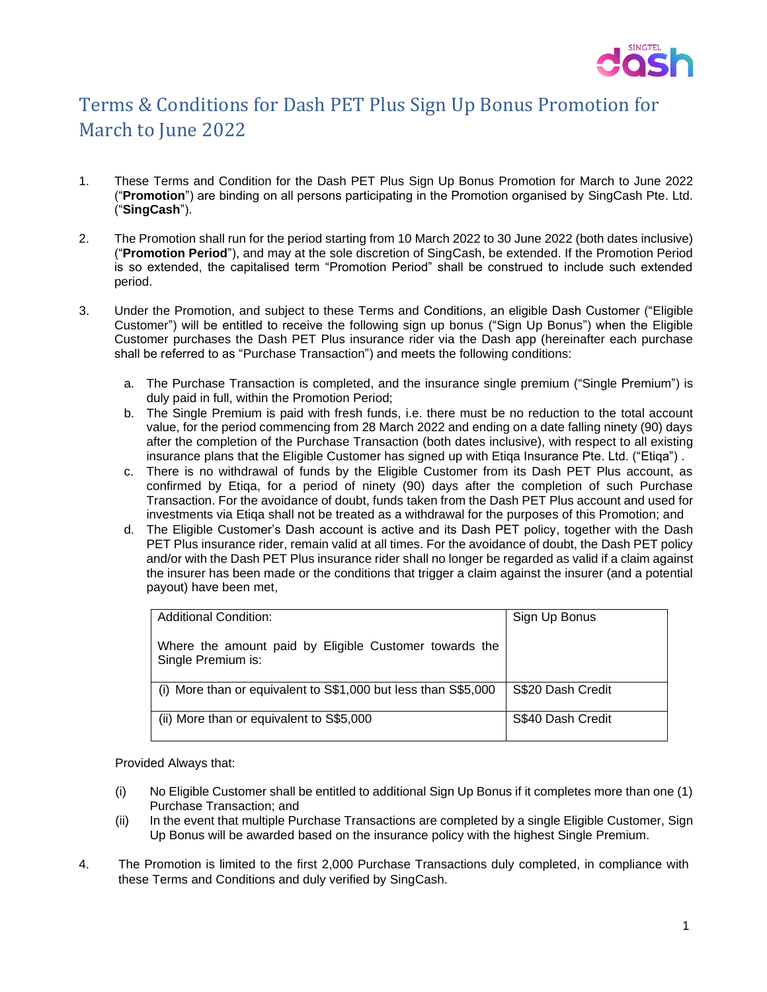

## Terms & Conditions for Dash PET Plus Sign Up Bonus Promotion for March to June 2022

- 1. These Terms and Condition for the Dash PET Plus Sign Up Bonus Promotion for March to June 2022 ("**Promotion**") are binding on all persons participating in the Promotion organised by SingCash Pte. Ltd. ("**SingCash**").
- 2. The Promotion shall run for the period starting from 10 March 2022 to 30 June 2022 (both dates inclusive) ("**Promotion Period**"), and may at the sole discretion of SingCash, be extended. If the Promotion Period is so extended, the capitalised term "Promotion Period" shall be construed to include such extended period.
- 3. Under the Promotion, and subject to these Terms and Conditions, an eligible Dash Customer ("Eligible Customer") will be entitled to receive the following sign up bonus ("Sign Up Bonus") when the Eligible Customer purchases the Dash PET Plus insurance rider via the Dash app (hereinafter each purchase shall be referred to as "Purchase Transaction") and meets the following conditions:
	- a. The Purchase Transaction is completed, and the insurance single premium ("Single Premium") is duly paid in full, within the Promotion Period;
	- b. The Single Premium is paid with fresh funds, i.e. there must be no reduction to the total account value, for the period commencing from 28 March 2022 and ending on a date falling ninety (90) days after the completion of the Purchase Transaction (both dates inclusive), with respect to all existing insurance plans that the Eligible Customer has signed up with Etiqa Insurance Pte. Ltd. ("Etiqa") .
	- c. There is no withdrawal of funds by the Eligible Customer from its Dash PET Plus account, as confirmed by Etiqa, for a period of ninety (90) days after the completion of such Purchase Transaction. For the avoidance of doubt, funds taken from the Dash PET Plus account and used for investments via Etiqa shall not be treated as a withdrawal for the purposes of this Promotion; and
	- d. The Eligible Customer's Dash account is active and its Dash PET policy, together with the Dash PET Plus insurance rider, remain valid at all times. For the avoidance of doubt, the Dash PET policy and/or with the Dash PET Plus insurance rider shall no longer be regarded as valid if a claim against the insurer has been made or the conditions that trigger a claim against the insurer (and a potential payout) have been met,

| <b>Additional Condition:</b>                                                 | Sign Up Bonus     |
|------------------------------------------------------------------------------|-------------------|
| Where the amount paid by Eligible Customer towards the<br>Single Premium is: |                   |
| (i) More than or equivalent to S\$1,000 but less than S\$5,000               | S\$20 Dash Credit |
| (ii) More than or equivalent to S\$5,000                                     | S\$40 Dash Credit |

Provided Always that:

- (i) No Eligible Customer shall be entitled to additional Sign Up Bonus if it completes more than one (1) Purchase Transaction; and
- (ii) In the event that multiple Purchase Transactions are completed by a single Eligible Customer, Sign Up Bonus will be awarded based on the insurance policy with the highest Single Premium.
- 4. The Promotion is limited to the first 2,000 Purchase Transactions duly completed, in compliance with these Terms and Conditions and duly verified by SingCash.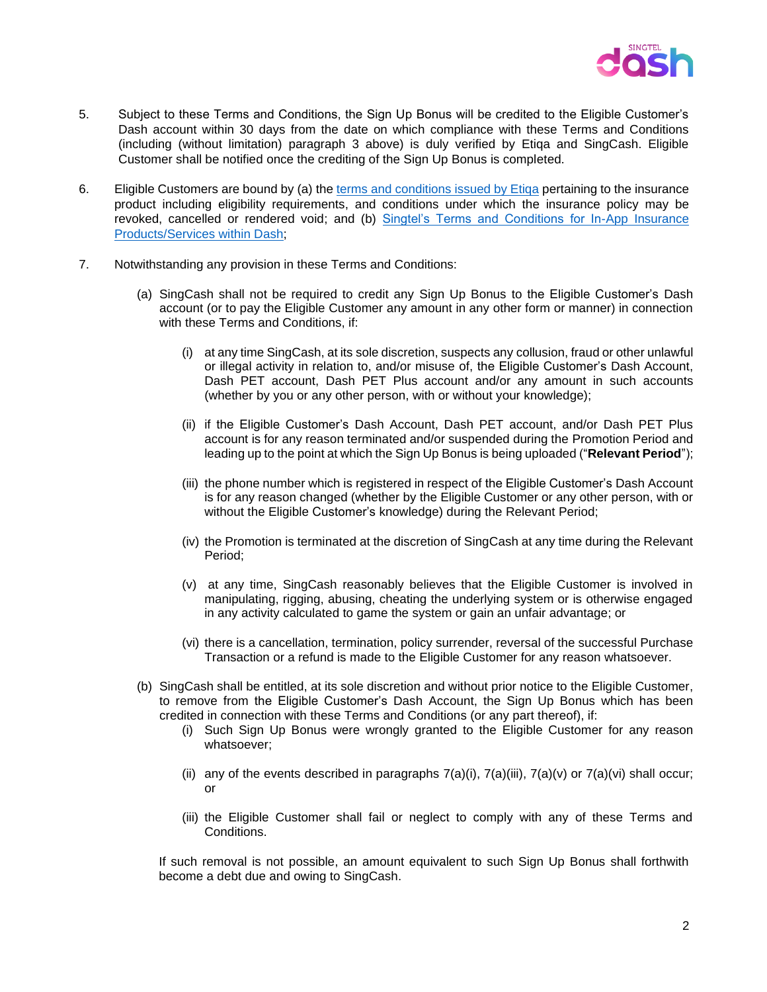

- 5. Subject to these Terms and Conditions, the Sign Up Bonus will be credited to the Eligible Customer's Dash account within 30 days from the date on which compliance with these Terms and Conditions (including (without limitation) paragraph 3 above) is duly verified by Etiqa and SingCash. Eligible Customer shall be notified once the crediting of the Sign Up Bonus is completed.
- 6. Eligible Customers are bound by (a) the terms and conditions issued by Etiqa pertaining to the insurance product including eligibility requirements, and conditions under which the insurance policy may be revoked, cancelled or rendered void; and (b) [Singtel's Terms and Conditions for In-App Insurance](https://dash.com.sg/files/terms/Dash_In-App_Insurance_Services_TC.pdf)  [Products/Services within Dash;](https://dash.com.sg/files/terms/Dash_In-App_Insurance_Services_TC.pdf)
- 7. Notwithstanding any provision in these Terms and Conditions:
	- (a) SingCash shall not be required to credit any Sign Up Bonus to the Eligible Customer's Dash account (or to pay the Eligible Customer any amount in any other form or manner) in connection with these Terms and Conditions, if:
		- (i) at any time SingCash, at its sole discretion, suspects any collusion, fraud or other unlawful or illegal activity in relation to, and/or misuse of, the Eligible Customer's Dash Account, Dash PET account, Dash PET Plus account and/or any amount in such accounts (whether by you or any other person, with or without your knowledge);
		- (ii) if the Eligible Customer's Dash Account, Dash PET account, and/or Dash PET Plus account is for any reason terminated and/or suspended during the Promotion Period and leading up to the point at which the Sign Up Bonus is being uploaded ("**Relevant Period**");
		- (iii) the phone number which is registered in respect of the Eligible Customer's Dash Account is for any reason changed (whether by the Eligible Customer or any other person, with or without the Eligible Customer's knowledge) during the Relevant Period;
		- (iv) the Promotion is terminated at the discretion of SingCash at any time during the Relevant Period;
		- (v) at any time, SingCash reasonably believes that the Eligible Customer is involved in manipulating, rigging, abusing, cheating the underlying system or is otherwise engaged in any activity calculated to game the system or gain an unfair advantage; or
		- (vi) there is a cancellation, termination, policy surrender, reversal of the successful Purchase Transaction or a refund is made to the Eligible Customer for any reason whatsoever.
	- (b) SingCash shall be entitled, at its sole discretion and without prior notice to the Eligible Customer, to remove from the Eligible Customer's Dash Account, the Sign Up Bonus which has been credited in connection with these Terms and Conditions (or any part thereof), if:
		- (i) Such Sign Up Bonus were wrongly granted to the Eligible Customer for any reason whatsoever;
		- (ii) any of the events described in paragraphs  $7(a)(i)$ ,  $7(a)(ii)$ ,  $7(a)(v)$  or  $7(a)(vi)$  shall occur; or
		- (iii) the Eligible Customer shall fail or neglect to comply with any of these Terms and Conditions.

If such removal is not possible, an amount equivalent to such Sign Up Bonus shall forthwith become a debt due and owing to SingCash.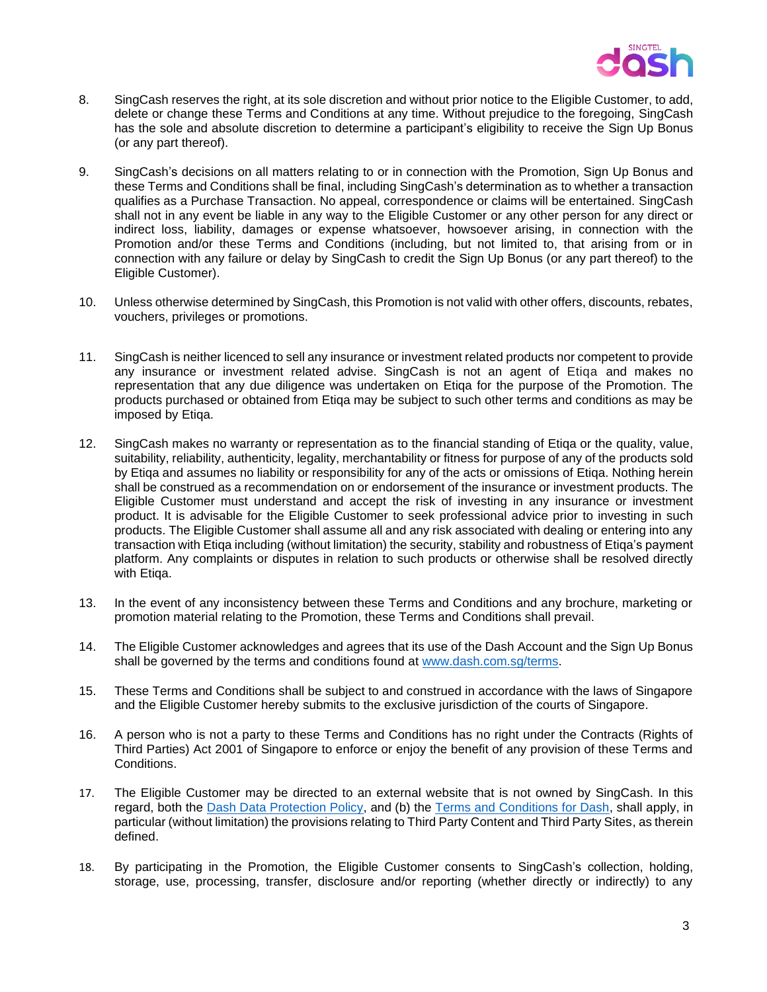

- 8. SingCash reserves the right, at its sole discretion and without prior notice to the Eligible Customer, to add, delete or change these Terms and Conditions at any time. Without prejudice to the foregoing, SingCash has the sole and absolute discretion to determine a participant's eligibility to receive the Sign Up Bonus (or any part thereof).
- 9. SingCash's decisions on all matters relating to or in connection with the Promotion, Sign Up Bonus and these Terms and Conditions shall be final, including SingCash's determination as to whether a transaction qualifies as a Purchase Transaction. No appeal, correspondence or claims will be entertained. SingCash shall not in any event be liable in any way to the Eligible Customer or any other person for any direct or indirect loss, liability, damages or expense whatsoever, howsoever arising, in connection with the Promotion and/or these Terms and Conditions (including, but not limited to, that arising from or in connection with any failure or delay by SingCash to credit the Sign Up Bonus (or any part thereof) to the Eligible Customer).
- 10. Unless otherwise determined by SingCash, this Promotion is not valid with other offers, discounts, rebates, vouchers, privileges or promotions.
- 11. SingCash is neither licenced to sell any insurance or investment related products nor competent to provide any insurance or investment related advise. SingCash is not an agent of Etiqa and makes no representation that any due diligence was undertaken on Etiqa for the purpose of the Promotion. The products purchased or obtained from Etiqa may be subject to such other terms and conditions as may be imposed by Etiqa.
- 12. SingCash makes no warranty or representation as to the financial standing of Etiqa or the quality, value, suitability, reliability, authenticity, legality, merchantability or fitness for purpose of any of the products sold by Etiqa and assumes no liability or responsibility for any of the acts or omissions of Etiqa. Nothing herein shall be construed as a recommendation on or endorsement of the insurance or investment products. The Eligible Customer must understand and accept the risk of investing in any insurance or investment product. It is advisable for the Eligible Customer to seek professional advice prior to investing in such products. The Eligible Customer shall assume all and any risk associated with dealing or entering into any transaction with Etiqa including (without limitation) the security, stability and robustness of Etiqa's payment platform. Any complaints or disputes in relation to such products or otherwise shall be resolved directly with Etiqa.
- 13. In the event of any inconsistency between these Terms and Conditions and any brochure, marketing or promotion material relating to the Promotion, these Terms and Conditions shall prevail.
- 14. The Eligible Customer acknowledges and agrees that its use of the Dash Account and the Sign Up Bonus shall be governed by the terms and conditions found at [www.dash.com.sg/terms.](http://www.dash.com.sg/terms)
- 15. These Terms and Conditions shall be subject to and construed in accordance with the laws of Singapore and the Eligible Customer hereby submits to the exclusive jurisdiction of the courts of Singapore.
- 16. A person who is not a party to these Terms and Conditions has no right under the Contracts (Rights of Third Parties) Act 2001 of Singapore to enforce or enjoy the benefit of any provision of these Terms and Conditions.
- 17. The Eligible Customer may be directed to an external website that is not owned by SingCash. In this regard, both the [Dash Data Protection Policy,](https://dash.com.sg/files/terms/privacy-policy1.pdf) and (b) the [Terms and Conditions for Dash,](https://dash.com.sg/files/terms/Dash_Terms_and_Conditions.pdf) shall apply, in particular (without limitation) the provisions relating to Third Party Content and Third Party Sites, as therein defined.
- 18. By participating in the Promotion, the Eligible Customer consents to SingCash's collection, holding, storage, use, processing, transfer, disclosure and/or reporting (whether directly or indirectly) to any